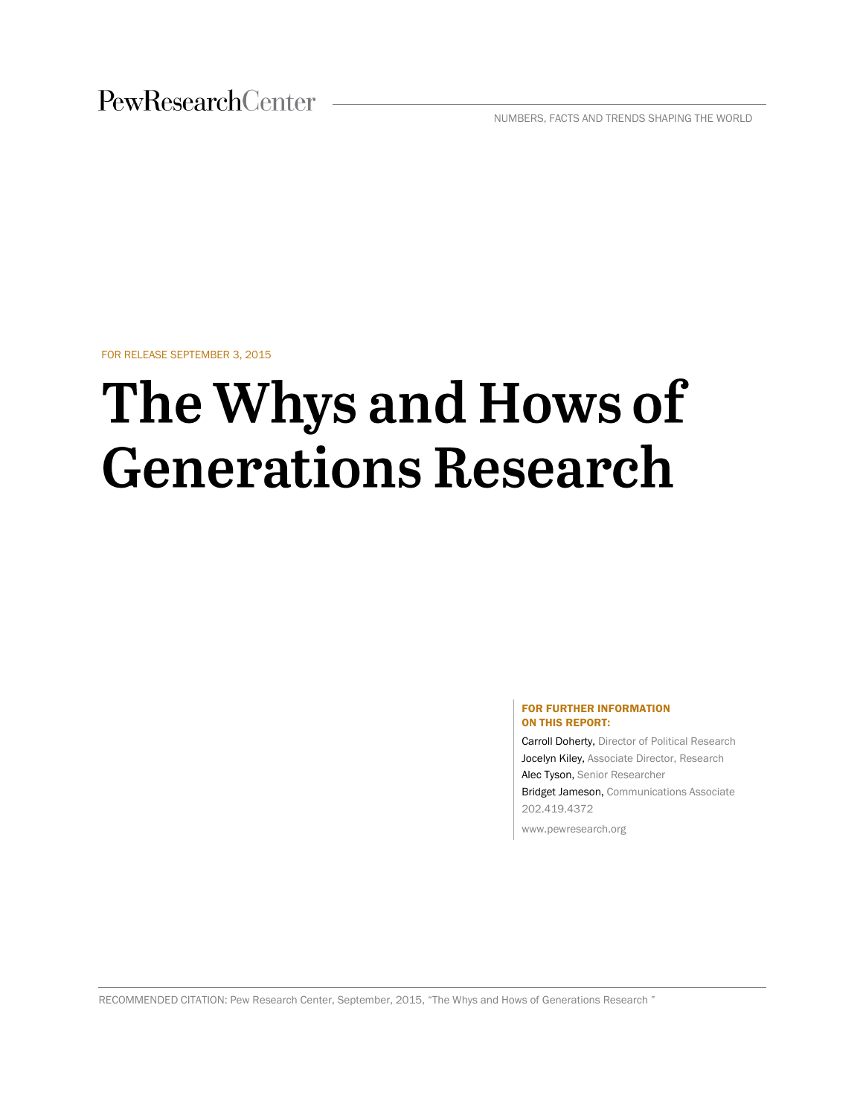PewResearchCenter

NUMBERS, FACTS AND TRENDS SHAPING THE WORLD

FOR RELEASE SEPTEMBER 3, 2015

# The Whys and Hows of **Generations Research**

#### FOR FURTHER INFORMATION ON THIS REPORT:

Carroll Doherty, Director of Political Research Jocelyn Kiley, Associate Director, Research Alec Tyson, Senior Researcher Bridget Jameson, Communications Associate 202.419.4372

www.pewresearch.org

RECOMMENDED CITATION: Pew Research Center, September, 2015, "The Whys and Hows of Generations Research "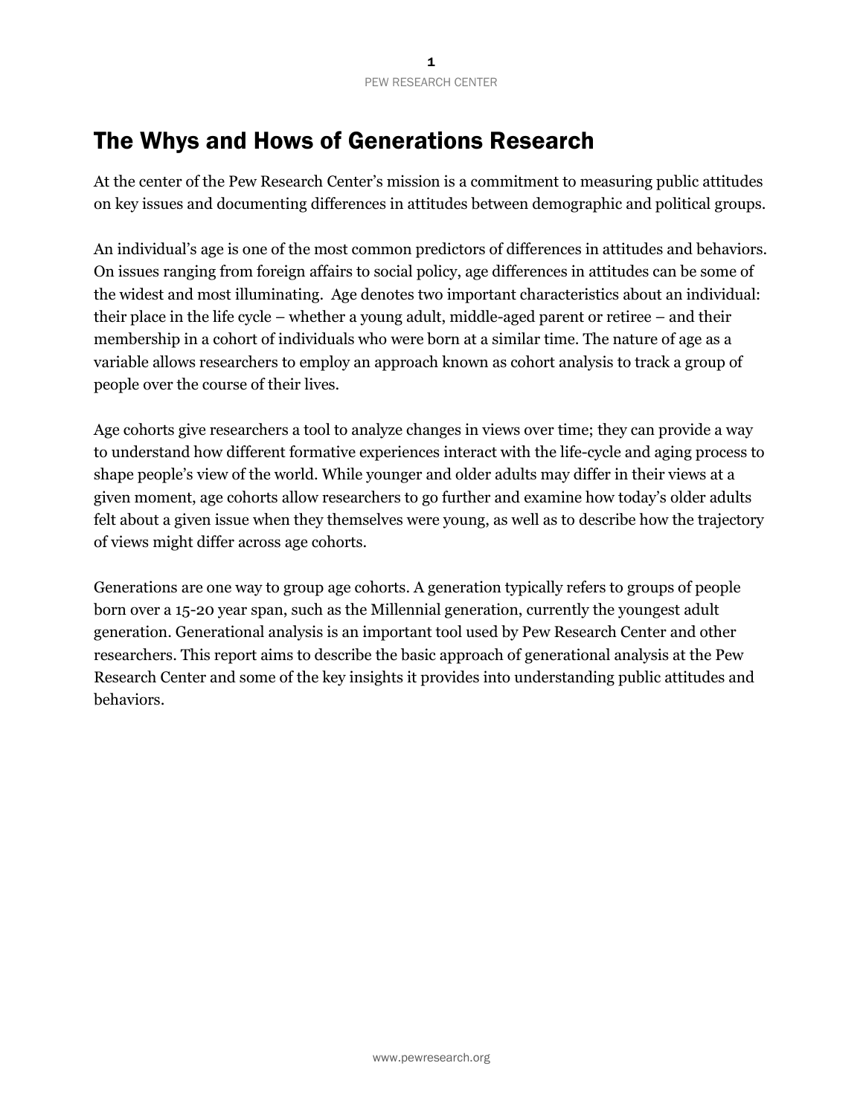# The Whys and Hows of Generations Research

At the center of the Pew Research Center's mission is a commitment to measuring public attitudes on key issues and documenting differences in attitudes between demographic and political groups.

An individual's age is one of the most common predictors of differences in attitudes and behaviors. On issues ranging from foreign affairs to social policy, age differences in attitudes can be some of the widest and most illuminating. Age denotes two important characteristics about an individual: their place in the life cycle – whether a young adult, middle-aged parent or retiree – and their membership in a cohort of individuals who were born at a similar time. The nature of age as a variable allows researchers to employ an approach known as cohort analysis to track a group of people over the course of their lives.

Age cohorts give researchers a tool to analyze changes in views over time; they can provide a way to understand how different formative experiences interact with the life-cycle and aging process to shape people's view of the world. While younger and older adults may differ in their views at a given moment, age cohorts allow researchers to go further and examine how today's older adults felt about a given issue when they themselves were young, as well as to describe how the trajectory of views might differ across age cohorts.

Generations are one way to group age cohorts. A generation typically refers to groups of people born over a 15-20 year span, such as the Millennial generation, currently the youngest adult generation. Generational analysis is an important tool used by Pew Research Center and other researchers. This report aims to describe the basic approach of generational analysis at the Pew Research Center and some of the key insights it provides into understanding public attitudes and behaviors.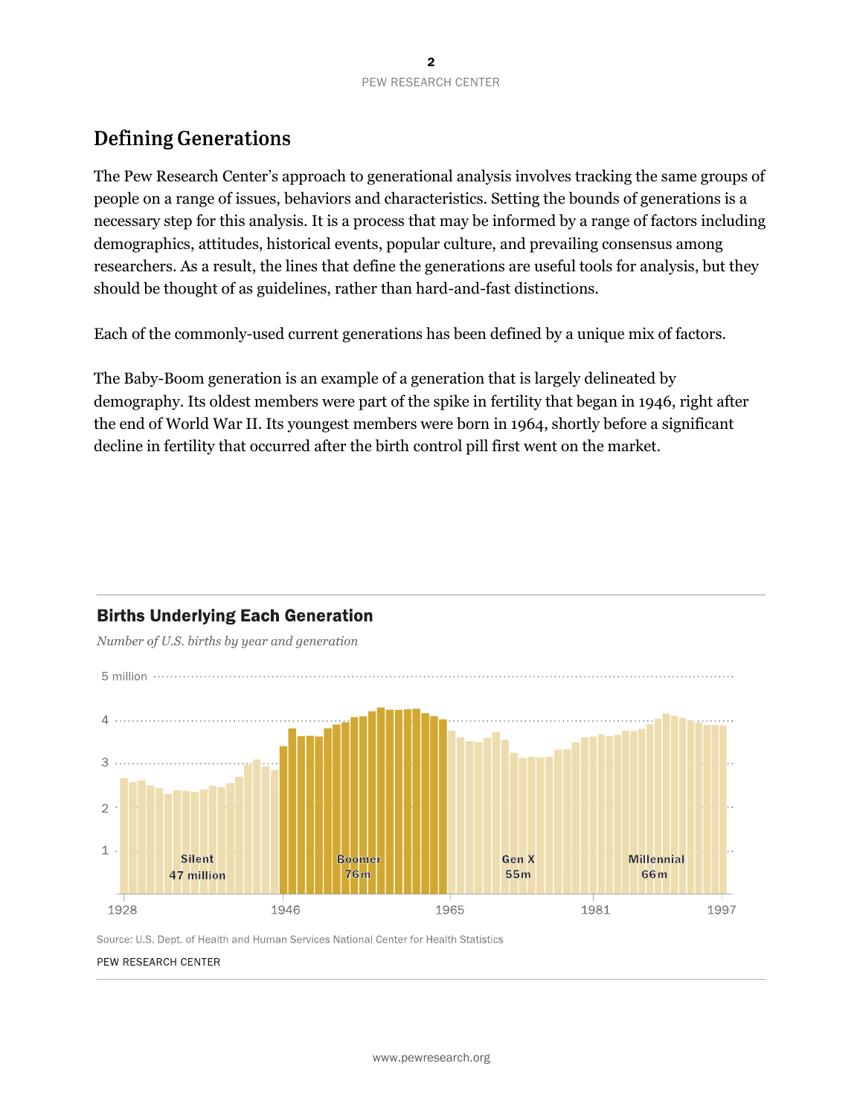# **Defining Generations**

The Pew Research Center's approach to generational analysis involves tracking the same groups of people on a range of issues, behaviors and characteristics. Setting the bounds of generations is a necessary step for this analysis. It is a process that may be informed by a range of factors including demographics, attitudes, historical events, popular culture, and prevailing consensus among researchers. As a result, the lines that define the generations are useful tools for analysis, but they should be thought of as guidelines, rather than hard-and-fast distinctions.

Each of the commonly-used current generations has been defined by a unique mix of factors.

The Baby-Boom generation is an example of a generation that is largely delineated by demography. Its oldest members were part of the spike in fertility that began in 1946, right after the end of World War II. Its youngest members were born in 1964, shortly before a significant decline in fertility that occurred after the birth control pill first went on the market.



# **Births Underlying Each Generation**

Number of U.S. births by year and generation

Source: U.S. Dept. of Health and Human Services National Center for Health Statistics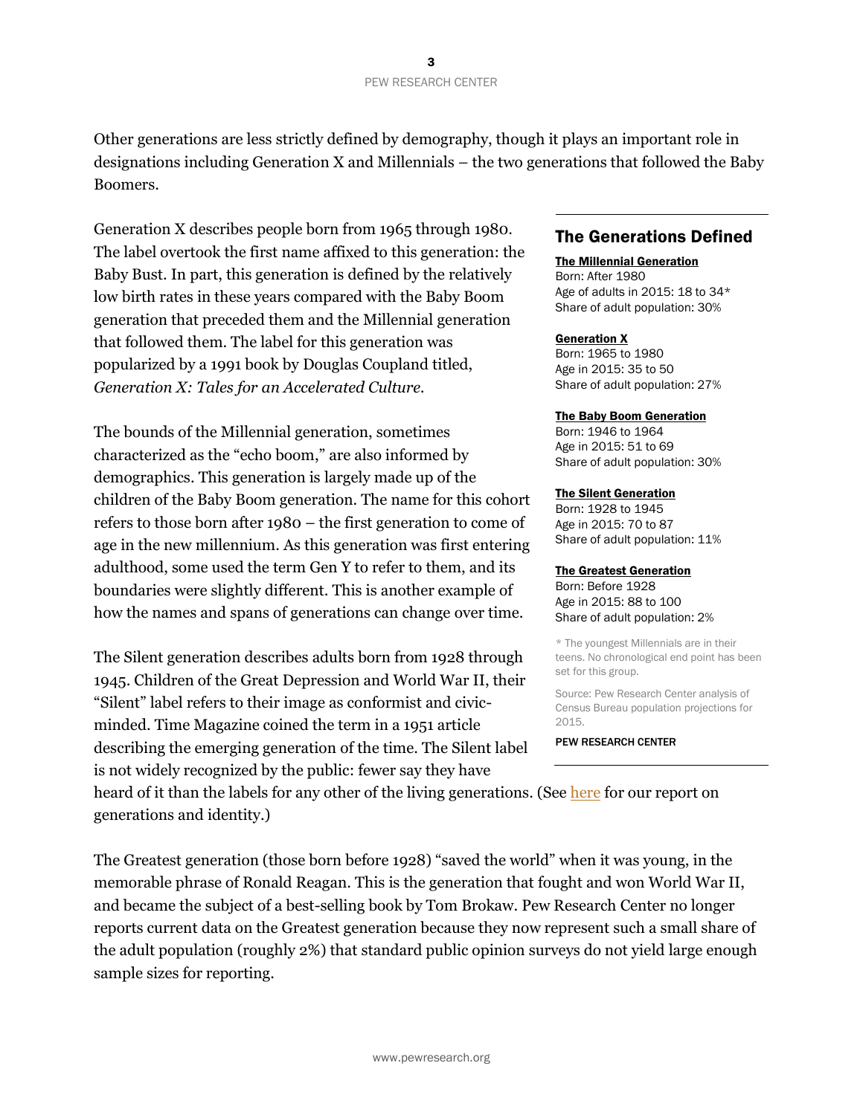Other generations are less strictly defined by demography, though it plays an important role in designations including Generation X and Millennials – the two generations that followed the Baby Boomers.

Generation X describes people born from 1965 through 1980. The label overtook the first name affixed to this generation: the Baby Bust. In part, this generation is defined by the relatively low birth rates in these years compared with the Baby Boom generation that preceded them and the Millennial generation that followed them. The label for this generation was popularized by a 1991 book by Douglas Coupland titled, *Generation X: Tales for an Accelerated Culture.*

The bounds of the Millennial generation, sometimes characterized as the "echo boom," are also informed by demographics. This generation is largely made up of the children of the Baby Boom generation. The name for this cohort refers to those born after 1980 – the first generation to come of age in the new millennium. As this generation was first entering adulthood, some used the term Gen Y to refer to them, and its boundaries were slightly different. This is another example of how the names and spans of generations can change over time.

The Silent generation describes adults born from 1928 through 1945. Children of the Great Depression and World War II, their "Silent" label refers to their image as conformist and civicminded. Time Magazine coined the term in a 1951 article describing the emerging generation of the time. The Silent label is not widely recognized by the public: fewer say they have

## The Generations Defined

#### The Millennial Generation

Born: After 1980 Age of adults in 2015: 18 to 34\* Share of adult population: 30%

#### **Generation X**

Born: 1965 to 1980 Age in 2015: 35 to 50 Share of adult population: 27%

#### The Baby Boom Generation

Born: 1946 to 1964 Age in 2015: 51 to 69 Share of adult population: 30%

#### The Silent Generation

Born: 1928 to 1945 Age in 2015: 70 to 87 Share of adult population: 11%

#### The Greatest Generation

Born: Before 1928 Age in 2015: 88 to 100 Share of adult population: 2%

\* The youngest Millennials are in their teens. No chronological end point has been set for this group.

Source: Pew Research Center analysis of Census Bureau population projections for 2015.

PEW RESEARCH CENTER

heard of it than the labels for any other of the living generations. (Se[e here](http://www.people-press.org/2015/09/03/most-millennials-resist-the-millennial-label) for our report on generations and identity.)

The Greatest generation (those born before 1928) "saved the world" when it was young, in the memorable phrase of Ronald Reagan. This is the generation that fought and won World War II, and became the subject of a best-selling book by Tom Brokaw. Pew Research Center no longer reports current data on the Greatest generation because they now represent such a small share of the adult population (roughly 2%) that standard public opinion surveys do not yield large enough sample sizes for reporting.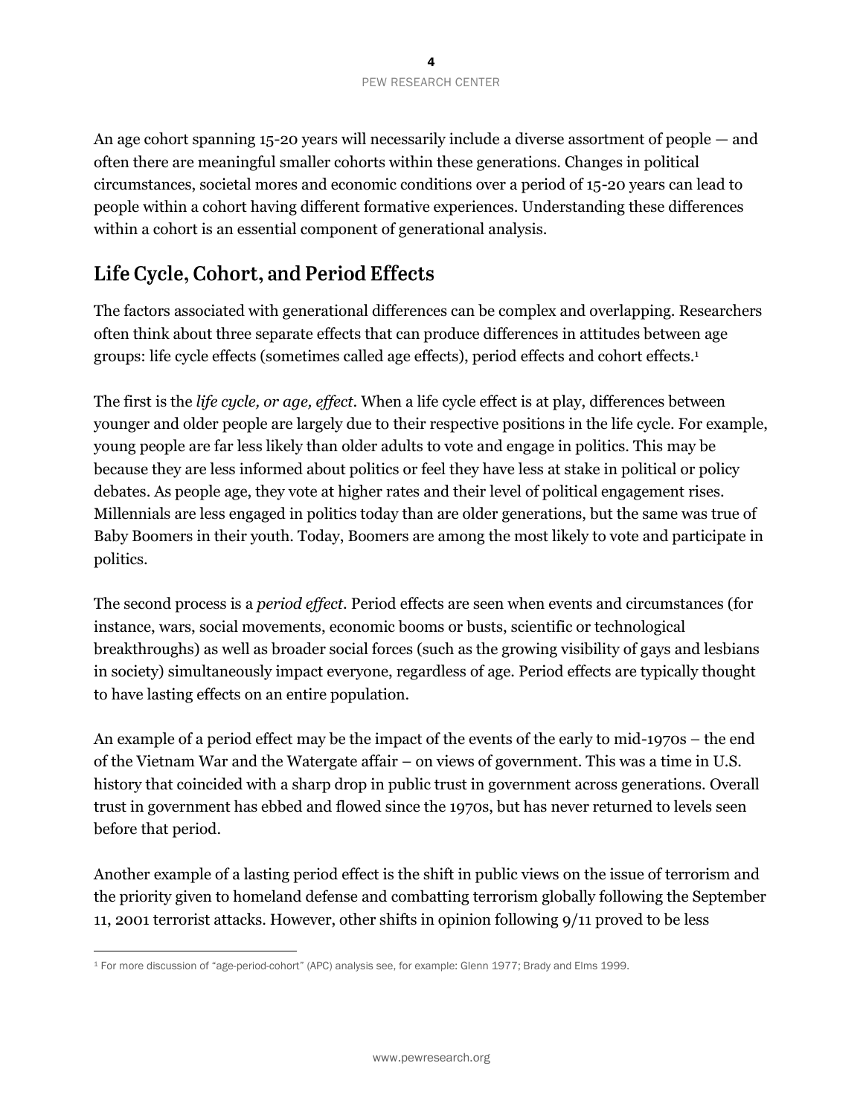An age cohort spanning 15-20 years will necessarily include a diverse assortment of people — and often there are meaningful smaller cohorts within these generations. Changes in political circumstances, societal mores and economic conditions over a period of 15-20 years can lead to people within a cohort having different formative experiences. Understanding these differences within a cohort is an essential component of generational analysis.

# Life Cycle, Cohort, and Period Effects

The factors associated with generational differences can be complex and overlapping. Researchers often think about three separate effects that can produce differences in attitudes between age groups: life cycle effects (sometimes called age effects), period effects and cohort effects.<sup>1</sup>

The first is the *life cycle, or age, effect*. When a life cycle effect is at play, differences between younger and older people are largely due to their respective positions in the life cycle. For example, young people are far less likely than older adults to vote and engage in politics. This may be because they are less informed about politics or feel they have less at stake in political or policy debates. As people age, they vote at higher rates and their level of political engagement rises. Millennials are less engaged in politics today than are older generations, but the same was true of Baby Boomers in their youth. Today, Boomers are among the most likely to vote and participate in politics.

The second process is a *period effect*. Period effects are seen when events and circumstances (for instance, wars, social movements, economic booms or busts, scientific or technological breakthroughs) as well as broader social forces (such as the growing visibility of gays and lesbians in society) simultaneously impact everyone, regardless of age. Period effects are typically thought to have lasting effects on an entire population.

An example of a period effect may be the impact of the events of the early to mid-1970s – the end of the Vietnam War and the Watergate affair – on views of government. This was a time in U.S. history that coincided with a sharp drop in public trust in government across generations. Overall trust in government has ebbed and flowed since the 1970s, but has never returned to levels seen before that period.

Another example of a lasting period effect is the shift in public views on the issue of terrorism and the priority given to homeland defense and combatting terrorism globally following the September 11, 2001 terrorist attacks. However, other shifts in opinion following 9/11 proved to be less

 $\overline{a}$ <sup>1</sup> For more discussion of "age-period-cohort" (APC) analysis see, for example: Glenn 1977; Brady and Elms 1999.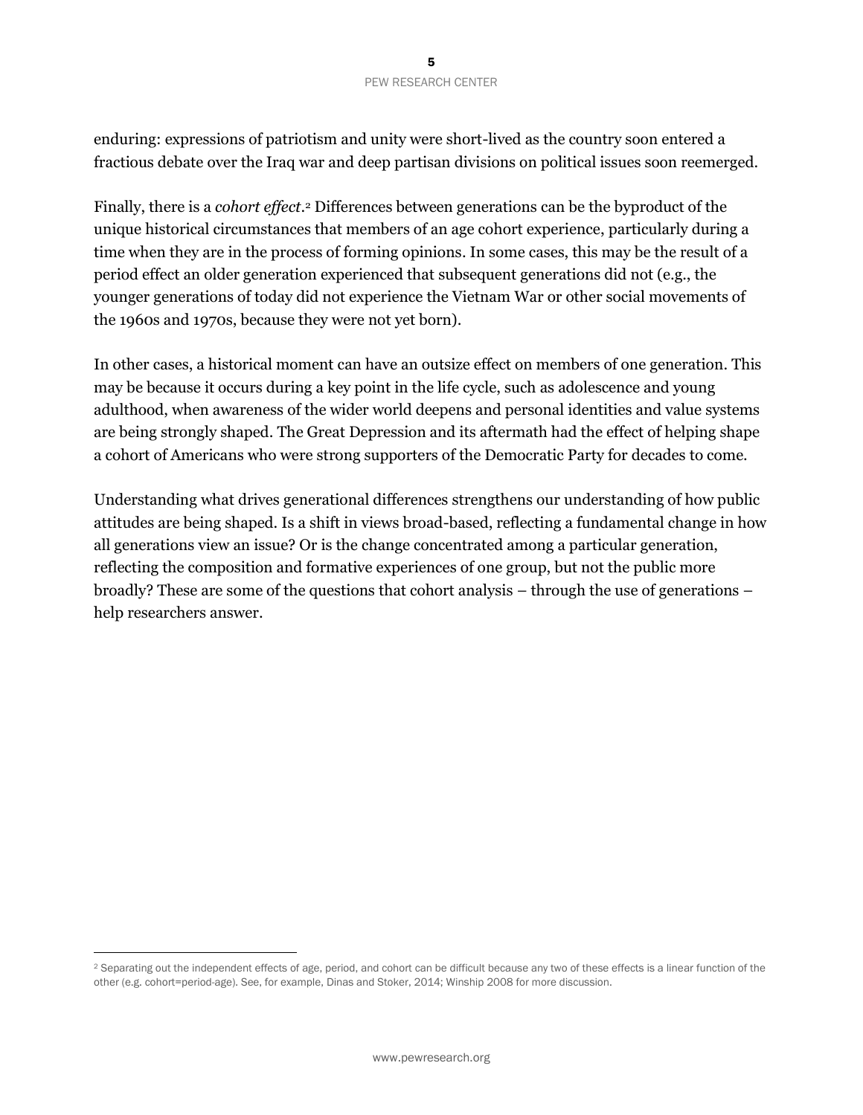enduring: expressions of patriotism and unity were short-lived as the country soon entered a fractious debate over the Iraq war and deep partisan divisions on political issues soon reemerged.

Finally, there is a *cohort effect*. <sup>2</sup> Differences between generations can be the byproduct of the unique historical circumstances that members of an age cohort experience, particularly during a time when they are in the process of forming opinions. In some cases, this may be the result of a period effect an older generation experienced that subsequent generations did not (e.g., the younger generations of today did not experience the Vietnam War or other social movements of the 1960s and 1970s, because they were not yet born).

In other cases, a historical moment can have an outsize effect on members of one generation. This may be because it occurs during a key point in the life cycle, such as adolescence and young adulthood, when awareness of the wider world deepens and personal identities and value systems are being strongly shaped. The Great Depression and its aftermath had the effect of helping shape a cohort of Americans who were strong supporters of the Democratic Party for decades to come.

Understanding what drives generational differences strengthens our understanding of how public attitudes are being shaped. Is a shift in views broad-based, reflecting a fundamental change in how all generations view an issue? Or is the change concentrated among a particular generation, reflecting the composition and formative experiences of one group, but not the public more broadly? These are some of the questions that cohort analysis – through the use of generations – help researchers answer.

 $\overline{a}$ 

<sup>&</sup>lt;sup>2</sup> Separating out the independent effects of age, period, and cohort can be difficult because any two of these effects is a linear function of the other (e.g. cohort=period-age). See, for example, Dinas and Stoker, 2014; Winship 2008 for more discussion.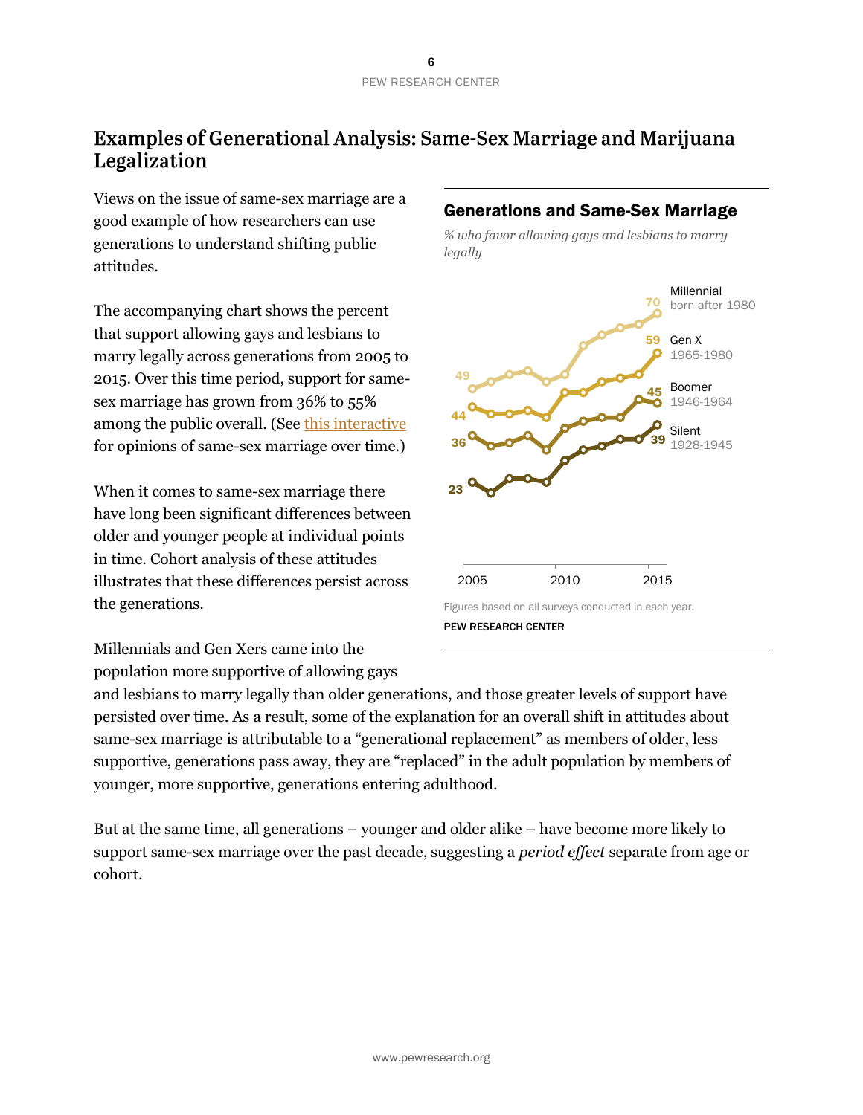# **Examples of Generational Analysis: Same-Sex Marriage and Marijuana** Legalization

Views on the issue of same-sex marriage are a good example of how researchers can use generations to understand shifting public attitudes.

The accompanying chart shows the percent that support allowing gays and lesbians to marry legally across generations from 2005 to 2015. Over this time period, support for samesex marriage has grown from 36% to 55% among the public overall. (Se[e this interactive](http://www.pewforum.org/2015/07/29/graphics-slideshow-changing-attitudes-on-gay-marriage/) for opinions of same-sex marriage over time.)

When it comes to same-sex marriage there have long been significant differences between older and younger people at individual points in time. Cohort analysis of these attitudes illustrates that these differences persist across the generations.

## Generations and Same-Sex Marriage

*% who favor allowing gays and lesbians to marry legally*



Millennials and Gen Xers came into the population more supportive of allowing gays

and lesbians to marry legally than older generations, and those greater levels of support have persisted over time. As a result, some of the explanation for an overall shift in attitudes about same-sex marriage is attributable to a "generational replacement" as members of older, less supportive, generations pass away, they are "replaced" in the adult population by members of younger, more supportive, generations entering adulthood.

But at the same time, all generations – younger and older alike – have become more likely to support same-sex marriage over the past decade, suggesting a *period effect* separate from age or cohort.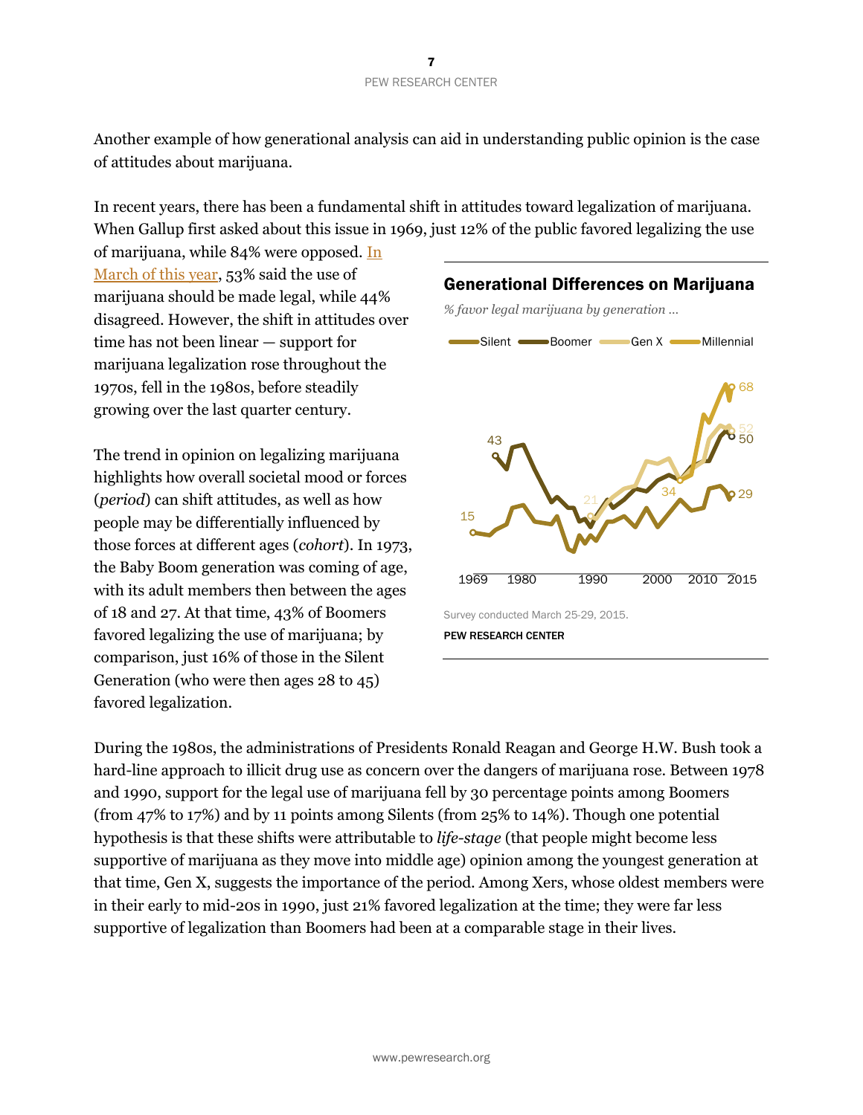Another example of how generational analysis can aid in understanding public opinion is the case of attitudes about marijuana.

In recent years, there has been a fundamental shift in attitudes toward legalization of marijuana. When Gallup first asked about this issue in 1969, just 12% of the public favored legalizing the use

of marijuana, while 84% were opposed. [In](http://www.people-press.org/2015/04/14/in-debate-over-legalizing-marijuana-disagreement-over-drugs-dangers/)  [March of this year,](http://www.people-press.org/2015/04/14/in-debate-over-legalizing-marijuana-disagreement-over-drugs-dangers/) 53% said the use of marijuana should be made legal, while 44% disagreed. However, the shift in attitudes over time has not been linear — support for marijuana legalization rose throughout the 1970s, fell in the 1980s, before steadily growing over the last quarter century.

The trend in opinion on legalizing marijuana highlights how overall societal mood or forces (*period*) can shift attitudes, as well as how people may be differentially influenced by those forces at different ages (*cohort*). In 1973, the Baby Boom generation was coming of age, with its adult members then between the ages of 18 and 27. At that time, 43% of Boomers favored legalizing the use of marijuana; by comparison, just 16% of those in the Silent Generation (who were then ages 28 to 45) favored legalization.



During the 1980s, the administrations of Presidents Ronald Reagan and George H.W. Bush took a hard-line approach to illicit drug use as concern over the dangers of marijuana rose. Between 1978 and 1990, support for the legal use of marijuana fell by 30 percentage points among Boomers (from 47% to 17%) and by 11 points among Silents (from 25% to 14%). Though one potential hypothesis is that these shifts were attributable to *life-stage* (that people might become less supportive of marijuana as they move into middle age) opinion among the youngest generation at that time, Gen X, suggests the importance of the period. Among Xers, whose oldest members were in their early to mid-20s in 1990, just 21% favored legalization at the time; they were far less supportive of legalization than Boomers had been at a comparable stage in their lives.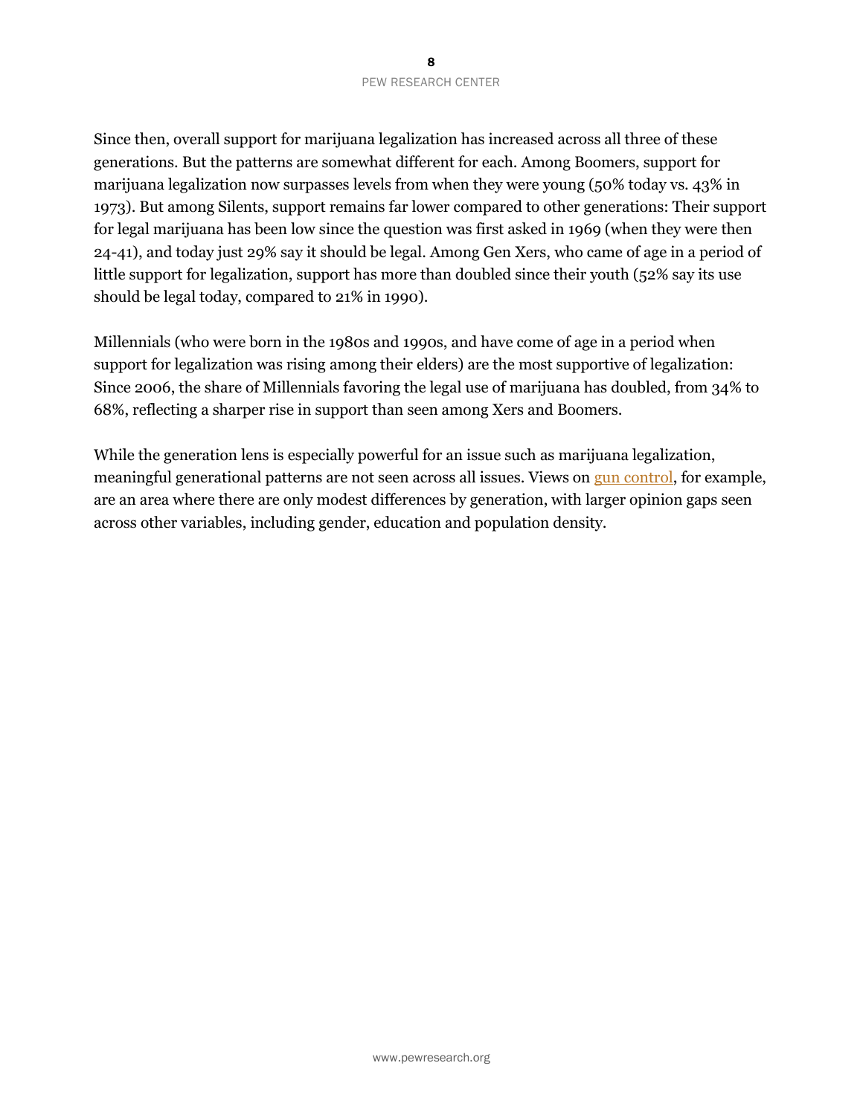Since then, overall support for marijuana legalization has increased across all three of these generations. But the patterns are somewhat different for each. Among Boomers, support for marijuana legalization now surpasses levels from when they were young (50% today vs. 43% in 1973). But among Silents, support remains far lower compared to other generations: Their support for legal marijuana has been low since the question was first asked in 1969 (when they were then 24-41), and today just 29% say it should be legal. Among Gen Xers, who came of age in a period of little support for legalization, support has more than doubled since their youth (52% say its use should be legal today, compared to 21% in 1990).

Millennials (who were born in the 1980s and 1990s, and have come of age in a period when support for legalization was rising among their elders) are the most supportive of legalization: Since 2006, the share of Millennials favoring the legal use of marijuana has doubled, from 34% to 68%, reflecting a sharper rise in support than seen among Xers and Boomers.

While the generation lens is especially powerful for an issue such as marijuana legalization, meaningful generational patterns are not seen across all issues. Views o[n gun control,](http://www.pewsocialtrends.org/2014/03/07/chapter-2-generations-and-issues/#abortion-and-gun-control) for example, are an area where there are only modest differences by generation, with larger opinion gaps seen across other variables, including gender, education and population density.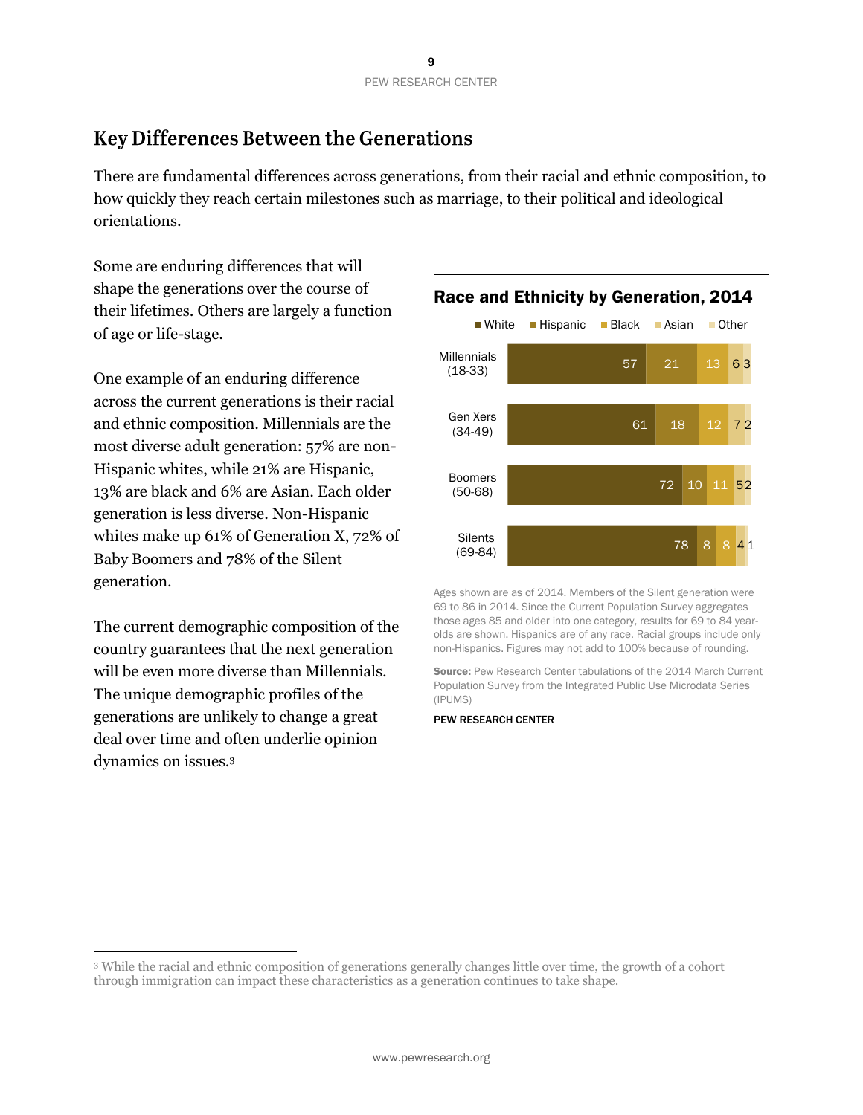# **Key Differences Between the Generations**

There are fundamental differences across generations, from their racial and ethnic composition, to how quickly they reach certain milestones such as marriage, to their political and ideological orientations.

Some are enduring differences that will shape the generations over the course of their lifetimes. Others are largely a function of age or life-stage.

One example of an enduring difference across the current generations is their racial and ethnic composition. Millennials are the most diverse adult generation: 57% are non-Hispanic whites, while 21% are Hispanic, 13% are black and 6% are Asian. Each older generation is less diverse. Non-Hispanic whites make up 61% of Generation X, 72% of Baby Boomers and 78% of the Silent generation.

The current demographic composition of the country guarantees that the next generation will be even more diverse than Millennials. The unique demographic profiles of the generations are unlikely to change a great deal over time and often underlie opinion dynamics on issues.<sup>3</sup>

 $\overline{a}$ 



Ages shown are as of 2014. Members of the Silent generation were 69 to 86 in 2014. Since the Current Population Survey aggregates those ages 85 and older into one category, results for 69 to 84 yearolds are shown. Hispanics are of any race. Racial groups include only non-Hispanics. Figures may not add to 100% because of rounding.

Source: Pew Research Center tabulations of the 2014 March Current Population Survey from the Integrated Public Use Microdata Series (IPUMS)

<sup>3</sup> While the racial and ethnic composition of generations generally changes little over time, the growth of a cohort through immigration can impact these characteristics as a generation continues to take shape.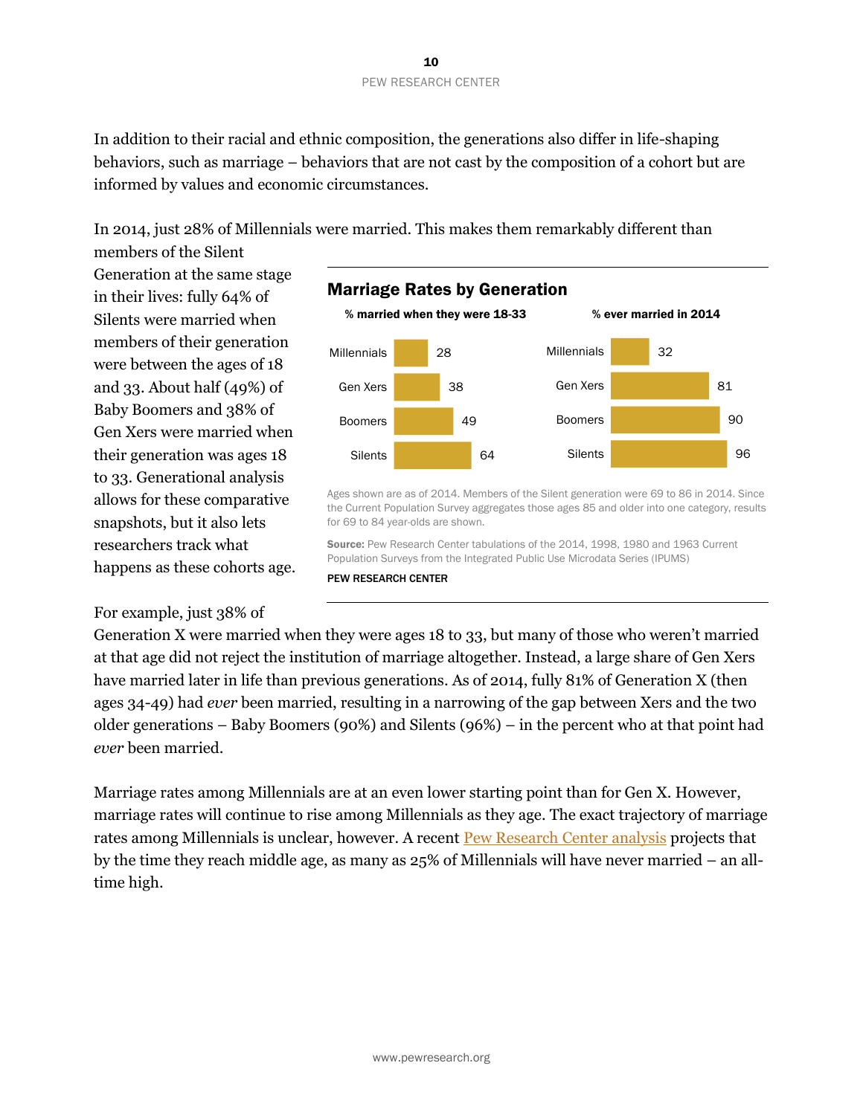In addition to their racial and ethnic composition, the generations also differ in life-shaping behaviors, such as marriage – behaviors that are not cast by the composition of a cohort but are informed by values and economic circumstances.

In 2014, just 28% of Millennials were married. This makes them remarkably different than

members of the Silent Generation at the same stage in their lives: fully 64% of Silents were married when members of their generation were between the ages of 18 and 33. About half (49%) of Baby Boomers and 38% of Gen Xers were married when their generation was ages 18 to 33. Generational analysis allows for these comparative snapshots, but it also lets researchers track what happens as these cohorts age.



Ages shown are as of 2014. Members of the Silent generation were 69 to 86 in 2014. Since the Current Population Survey aggregates those ages 85 and older into one category, results for 69 to 84 year-olds are shown.

Source: Pew Research Center tabulations of the 2014, 1998, 1980 and 1963 Current Population Surveys from the Integrated Public Use Microdata Series (IPUMS)

#### PEW RESEARCH CENTER

For example, just 38% of

Generation X were married when they were ages 18 to 33, but many of those who weren't married at that age did not reject the institution of marriage altogether. Instead, a large share of Gen Xers have married later in life than previous generations. As of 2014, fully 81% of Generation X (then ages 34-49) had *ever* been married, resulting in a narrowing of the gap between Xers and the two older generations – Baby Boomers (90%) and Silents (96%) – in the percent who at that point had *ever* been married.

Marriage rates among Millennials are at an even lower starting point than for Gen X. However, marriage rates will continue to rise among Millennials as they age. The exact trajectory of marriage rates among Millennials is unclear, however. A recent **Pew Research Center analysis** projects that by the time they reach middle age, as many as 25% of Millennials will have never married – an alltime high.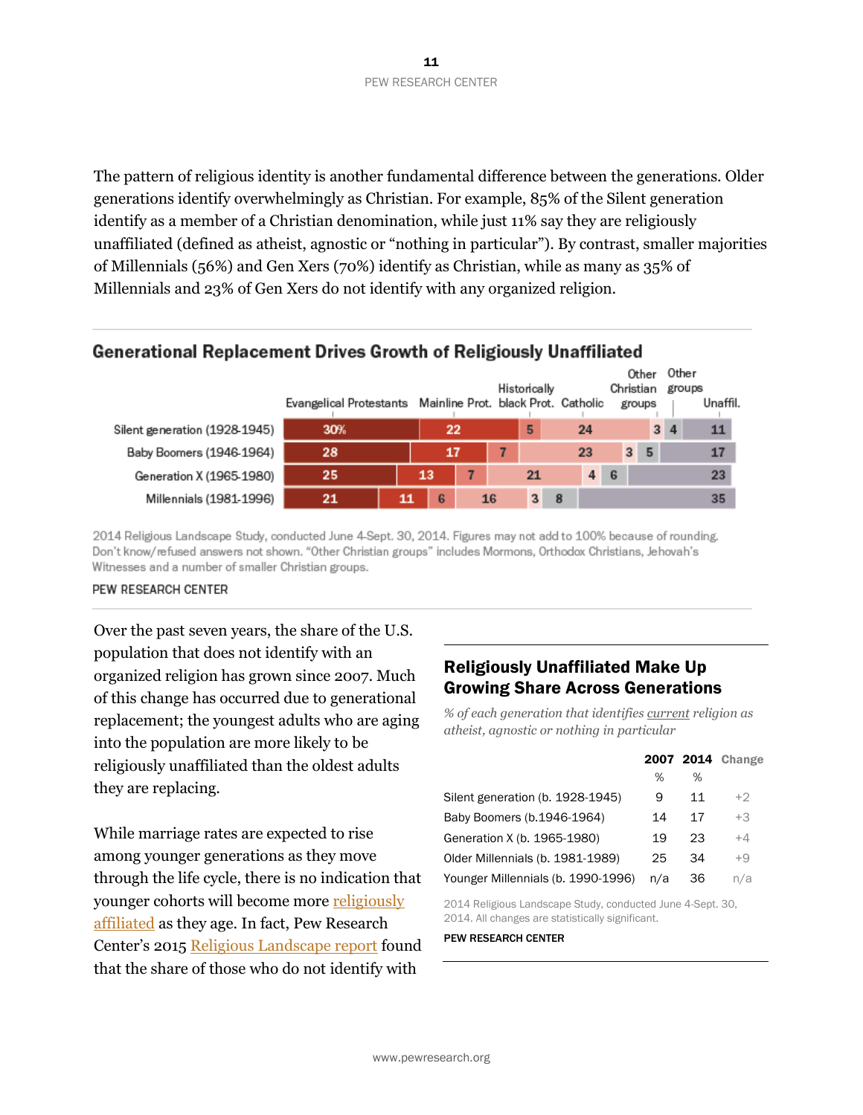The pattern of religious identity is another fundamental difference between the generations. Older generations identify overwhelmingly as Christian. For example, 85% of the Silent generation identify as a member of a Christian denomination, while just 11% say they are religiously unaffiliated (defined as atheist, agnostic or "nothing in particular"). By contrast, smaller majorities of Millennials (56%) and Gen Xers (70%) identify as Christian, while as many as 35% of Millennials and 23% of Gen Xers do not identify with any organized religion.

## Generational Replacement Drives Growth of Religiously Unaffiliated

|                               |                         |    |    |                                     |              |   |             |                | Other     | Other          |          |  |
|-------------------------------|-------------------------|----|----|-------------------------------------|--------------|---|-------------|----------------|-----------|----------------|----------|--|
|                               |                         |    |    |                                     | Historically |   |             |                | Christian |                | groups   |  |
|                               | Evangelical Protestants |    |    | Mainline Prot. black Prot. Catholic |              |   |             |                | groups    |                | Unaffil. |  |
| Silent generation (1928-1945) | 30%                     |    | 22 |                                     | 5            |   | 24          |                |           | 3 <sub>4</sub> | 11       |  |
| Baby Boomers (1946-1964)      | 28                      |    | 17 |                                     |              |   | 23          | 3 <sup>1</sup> | 5         |                | 17       |  |
| Generation X (1965-1980)      | 25                      | 13 |    |                                     | 21           |   | $4 \quad 6$ |                |           |                | 23       |  |
| Millennials (1981-1996)       | 21                      | 11 | 6  | 16                                  | 3            | 8 |             |                |           |                | 35       |  |

2014 Religious Landscape Study, conducted June 4-Sept. 30, 2014. Figures may not add to 100% because of rounding. Don't know/refused answers not shown. "Other Christian groups" includes Mormons, Orthodox Christians, Jehovah's Witnesses and a number of smaller Christian groups.

#### PEW RESEARCH CENTER

Over the past seven years, the share of the U.S. population that does not identify with an organized religion has grown since 20o7. Much of this change has occurred due to generational replacement; the youngest adults who are aging into the population are more likely to be religiously unaffiliated than the oldest adults they are replacing.

While marriage rates are expected to rise among younger generations as they move through the life cycle, there is no indication that younger cohorts will become more [religiously](http://www.pewforum.org/2010/02/17/religion-among-the-millennials/)  [affiliated](http://www.pewforum.org/2010/02/17/religion-among-the-millennials/) as they age. In fact, Pew Research Center's 2015 [Religious Landscape report](http://www.pewforum.org/2015/05/12/americas-changing-religious-landscape/) found that the share of those who do not identify with

## Religiously Unaffiliated Make Up Growing Share Across Generations

*% of each generation that identifies current religion as atheist, agnostic or nothing in particular*

|                                    |     |    | 2007 2014 Change |
|------------------------------------|-----|----|------------------|
|                                    | %   | ℅  |                  |
| Silent generation (b. 1928-1945)   | 9   | 11 | +2               |
| Baby Boomers (b.1946-1964)         | 14  | 17 | $+3$             |
| Generation X (b. 1965-1980)        | 19  | 23 | $+4$             |
| Older Millennials (b. 1981-1989)   | 25  | 34 | $+9$             |
| Younger Millennials (b. 1990-1996) | n/a | 36 | n/a              |

2014 Religious Landscape Study, conducted June 4-Sept. 30, 2014. All changes are statistically significant.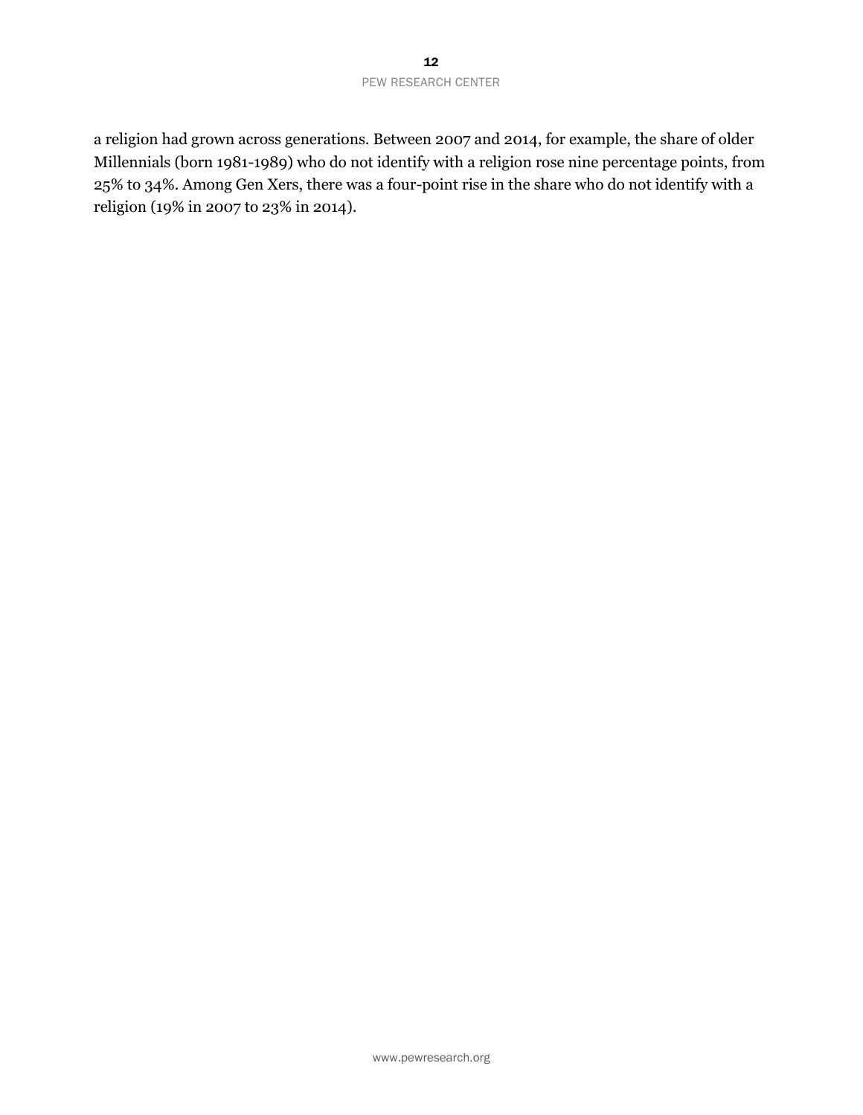#### 12 PEW RESEARCH CENTER

a religion had grown across generations. Between 2007 and 2014, for example, the share of older Millennials (born 1981-1989) who do not identify with a religion rose nine percentage points, from 25% to 34%. Among Gen Xers, there was a four-point rise in the share who do not identify with a religion (19% in 2007 to 23% in 2014).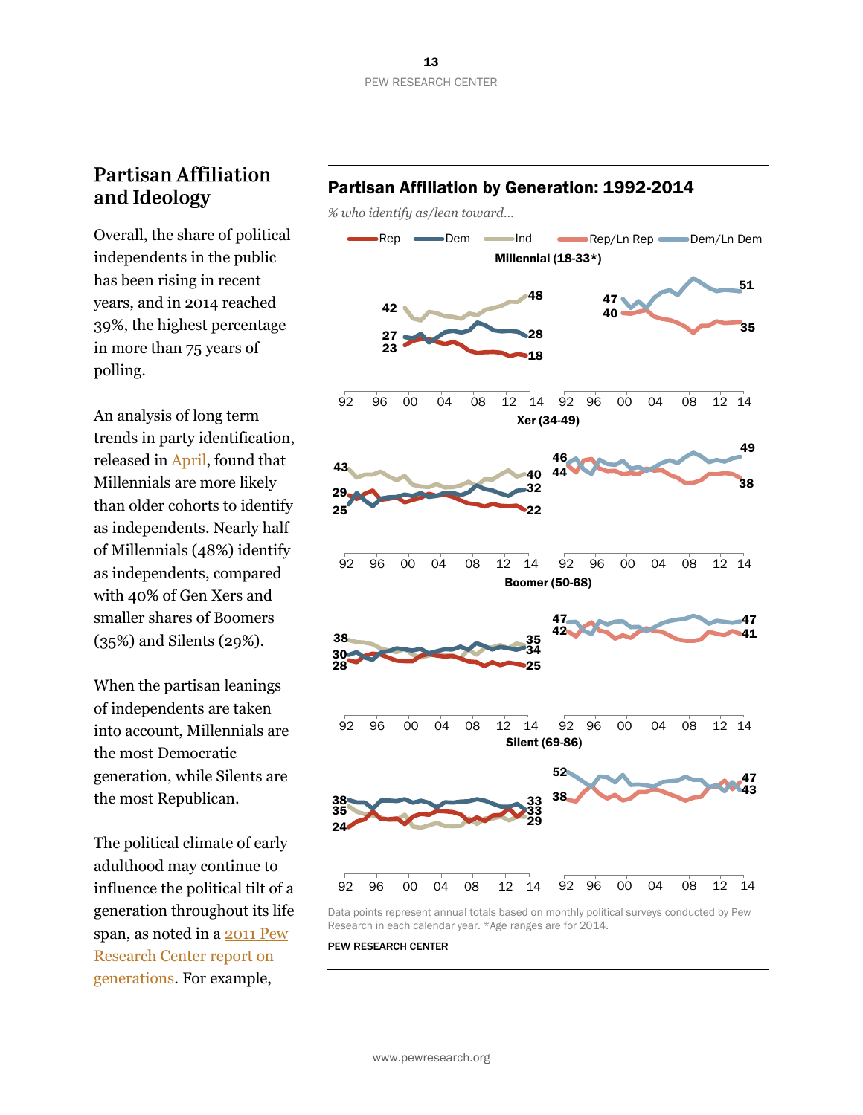# **Partisan Affiliation** and Ideology

independents in the public has been rising in recent years, and in 2014 reached 39%, the highest percentage in more than 75 years of polling.

An analysis of long term trends in party identification, released in [April,](http://www.people-press.org/2015/04/07/a-deep-dive-into-party-affiliation/) found that Millennials are more likely than older cohorts to identify as independents. Nearly half of Millennials (48%) identify as independents, compared with 40% of Gen Xers and smaller shares of Boomers (35%) and Silents (29%).

When the partisan leanings of independents are taken into account, Millennials are the most Democratic generation, while Silents are the most Republican.

The political climate of early adulthood may continue to influence the political tilt of a generation throughout its life span, as noted in a [2011 Pew](http://www.people-press.org/2011/11/03/section-1-how-generations-have-changed/#politics-and-early-adulthood)  [Research Center report on](http://www.people-press.org/2011/11/03/section-1-how-generations-have-changed/#politics-and-early-adulthood)  [generations.](http://www.people-press.org/2011/11/03/section-1-how-generations-have-changed/#politics-and-early-adulthood) For example,

### Partisan Affiliation by Generation: 1992-2014

*% who identify as/lean toward…*



Data points represent annual totals based on monthly political surveys conducted by Pew Research in each calendar year. \*Age ranges are for 2014.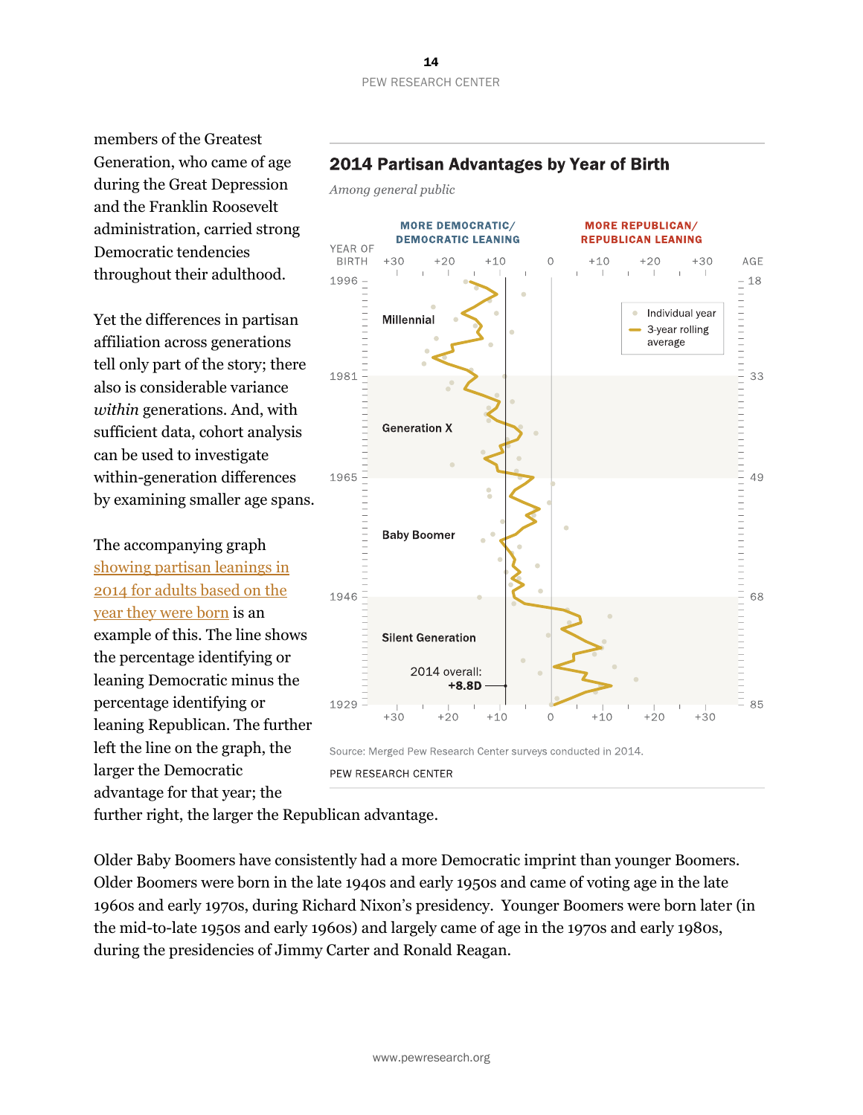#### 14 PEW RESEARCH CENTER

Among general public

members of the Greatest Generation, who came of age during the Great Depression and the Franklin Roosevelt administration, carried strong Democratic tendencies throughout their adulthood.

Yet the differences in partisan affiliation across generations tell only part of the story; there also is considerable variance *within* generations. And, with sufficient data, cohort analysis can be used to investigate within-generation differences by examining smaller age spans.

The accompanying graph [showing partisan leanings in](http://www.people-press.org/2015/04/30/a-different-look-at-generations-and-partisanship/)  [2014 for adults based on the](http://www.people-press.org/2015/04/30/a-different-look-at-generations-and-partisanship/)  [year they were born](http://www.people-press.org/2015/04/30/a-different-look-at-generations-and-partisanship/) is an example of this. The line shows the percentage identifying or leaning Democratic minus the percentage identifying or leaning Republican. The further left the line on the graph, the larger the Democratic advantage for that year; the



PEW RESEARCH CENTER

further right, the larger the Republican advantage.

Older Baby Boomers have consistently had a more Democratic imprint than younger Boomers. Older Boomers were born in the late 1940s and early 1950s and came of voting age in the late 1960s and early 1970s, during Richard Nixon's presidency. Younger Boomers were born later (in the mid-to-late 1950s and early 1960s) and largely came of age in the 1970s and early 1980s, during the presidencies of Jimmy Carter and Ronald Reagan.

## 2014 Partisan Advantages by Year of Birth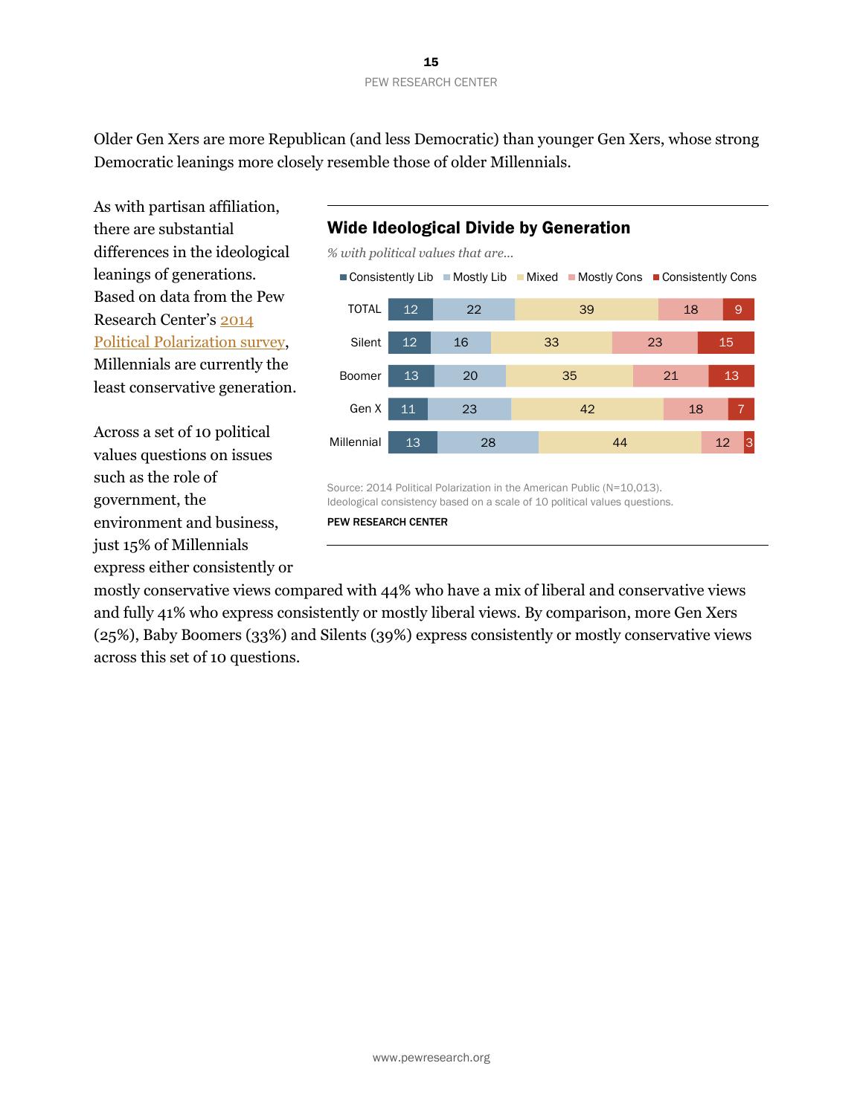Older Gen Xers are more Republican (and less Democratic) than younger Gen Xers, whose strong Democratic leanings more closely resemble those of older Millennials.

As with partisan affiliation, there are substantial differences in the ideological leanings of generations. Based on data from the Pew Research Center's [2014](http://www.people-press.org/2014/06/12/political-polarization-in-the-american-public/)  [Political Polarization survey,](http://www.people-press.org/2014/06/12/political-polarization-in-the-american-public/) Millennials are currently the least conservative generation.

Across a set of 10 political values questions on issues such as the role of government, the environment and business, just 15% of Millennials express either consistently or

## Wide Ideological Divide by Generation

*% with political values that are...*



Source: 2014 Political Polarization in the American Public (N=10,013). Ideological consistency based on a scale of 10 political values questions.

PEW RESEARCH CENTER

mostly conservative views compared with 44% who have a mix of liberal and conservative views and fully 41% who express consistently or mostly liberal views. By comparison, more Gen Xers (25%), Baby Boomers (33%) and Silents (39%) express consistently or mostly conservative views across this set of 10 questions.